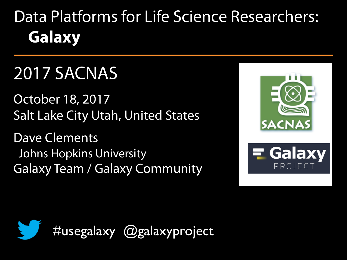# Data Platforms for Life Science Researchers: **Galaxy**

# 2017 SACNAS

October 18, 2017 Salt Lake City Utah, United States

Dave Clements Johns Hopkins University Galaxy Team / Galaxy Community





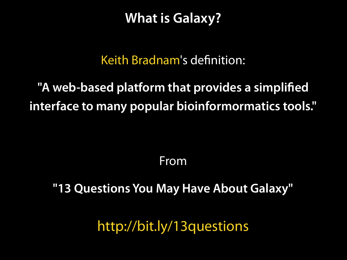**What is Galaxy?**

#### Keith Bradnam's definition:

#### **"A web-based platform that provides a simplified interface to many popular bioinformormatics tools."**

From

#### **"13 Questions You May Have About Galaxy"**

<http://bit.ly/13questions>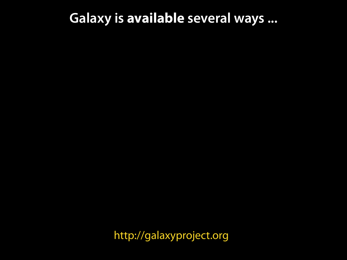#### **Galaxy is available several ways ...**

[http://galaxyproject.org](http://gmod.org/wiki/Computing_Requirements)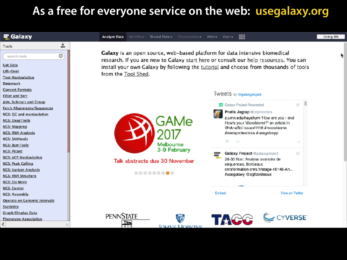#### **As a free for everyone service on the web: [usegalaxy.org](http://gmod.org/wiki/Computing_Requirements)**

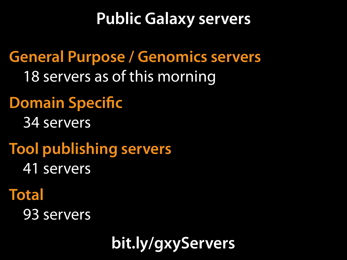# **Public Galaxy servers**

**General Purpose / Genomics servers** 18 servers as of this morning

# **Domain Specific**

34 servers

**Tool publishing servers** 41 servers

## **Total**

93 servers

**[bit.ly/gxyServers](http://bit.ly/gxyServers)**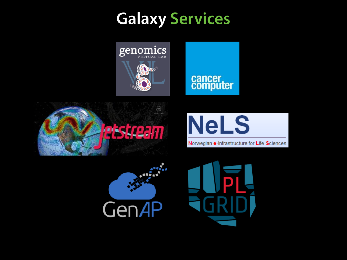# **Galaxy Services**



# cancer<br>computer







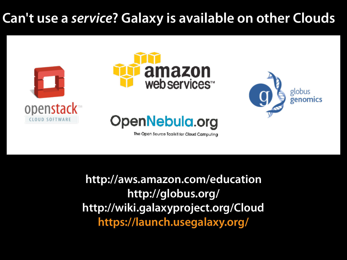#### **Can't use a** *service***? Galaxy is available on other Clouds**







The Open Source Toolkit for Cloud Computing

globus

**[http://aws.amazon.com/education](http://usegalaxy.org/cloud) http://globus.org/ <http://wiki.galaxyproject.org/Cloud> https://launch.usegalaxy.org/**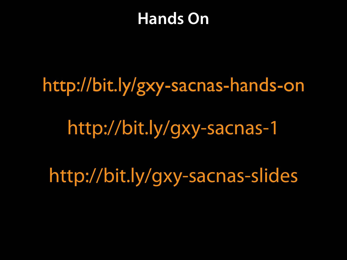# **Hands On**

# <http://bit.ly/gxy-sacnas-hands-on>

# <http://bit.ly/gxy-sacnas-1>

http://bit.ly/gxy-sacnas-slides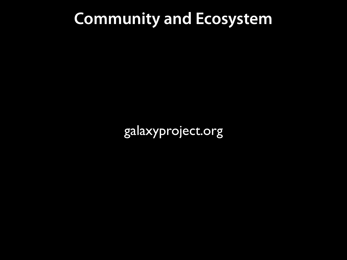# **Community and Ecosystem**

[galaxyproject.org](http://galaxyproject.org)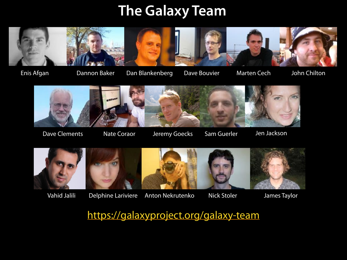#### **The Galaxy Team**



Dannon Baker Dan Blankenberg Dave Bouvier Enis Afgan John Chilton

Marten Cech



Nate Coraor

Dave Clements (Nate Coraor (Nate Heremy Goecks (Sam Guerler (Sam Jackson)





Vahid Jalili



Delphine Lariviere Anton Nekrutenko James Taylor

Nick Stoler

<https://galaxyproject.org/galaxy-team>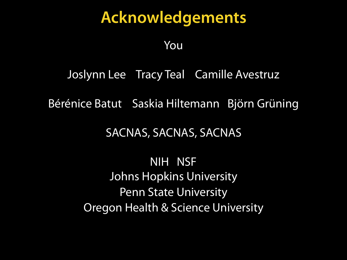### **Acknowledgements**

You

#### Joslynn Lee Tracy Teal Camille Avestruz

Bérénice Batut Saskia Hiltemann Björn Grüning

#### SACNAS, SACNAS, SACNAS

NIH NSF Johns Hopkins University Penn State University Oregon Health & Science University